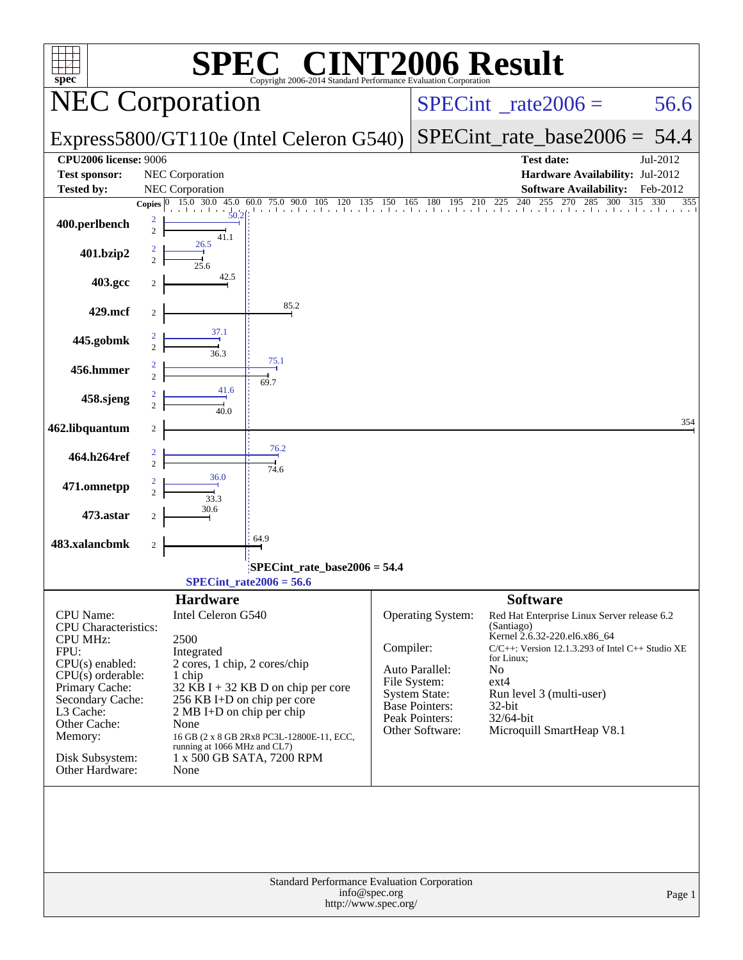| <b>72006 Result</b><br>$\blacksquare$<br>$spec^*$<br>Copyright 2006-2014 Standard Performance Evaluation Corporation |                     |                                                          |                                             |               |                                      |                                                                     |            |  |  |  |
|----------------------------------------------------------------------------------------------------------------------|---------------------|----------------------------------------------------------|---------------------------------------------|---------------|--------------------------------------|---------------------------------------------------------------------|------------|--|--|--|
| <b>NEC Corporation</b>                                                                                               |                     |                                                          |                                             |               |                                      | $SPECint^{\circ}$ <sub>_rate2006</sub> =                            | 56.6       |  |  |  |
|                                                                                                                      |                     |                                                          | Express5800/GT110e (Intel Celeron G540)     |               |                                      | $SPECint_rate_base2006 = 54.4$                                      |            |  |  |  |
| <b>CPU2006 license: 9006</b><br><b>Test sponsor:</b>                                                                 |                     | NEC Corporation                                          |                                             |               |                                      | <b>Test date:</b><br>Hardware Availability: Jul-2012                | Jul-2012   |  |  |  |
| <b>Tested by:</b>                                                                                                    |                     | <b>NEC</b> Corporation                                   |                                             |               |                                      | <b>Software Availability:</b>                                       | Feb-2012   |  |  |  |
|                                                                                                                      | <b>Copies</b>       | 15.0 30.0                                                | 45.0 60.0 75.0 90.0 105 120                 |               |                                      | 135 150 165 180 195 210 225 240 255 2<br>270<br>285<br>300<br>315   | 330<br>355 |  |  |  |
| 400.perlbench                                                                                                        | 2<br>$\overline{c}$ | 50.2<br>41.1                                             |                                             |               |                                      |                                                                     |            |  |  |  |
| 401.bzip2                                                                                                            | 2<br>$\mathfrak{D}$ | 26.5<br>25.6                                             |                                             |               |                                      |                                                                     |            |  |  |  |
| 403.gcc                                                                                                              |                     | 42.5                                                     |                                             |               |                                      |                                                                     |            |  |  |  |
| 429.mcf                                                                                                              | 2                   |                                                          | 85.2                                        |               |                                      |                                                                     |            |  |  |  |
| 445.gobmk                                                                                                            |                     | 37.1<br>36.3                                             |                                             |               |                                      |                                                                     |            |  |  |  |
| 456.hmmer                                                                                                            | 2<br>$\overline{2}$ |                                                          | 75.1<br>69.7                                |               |                                      |                                                                     |            |  |  |  |
| 458.sjeng                                                                                                            | 2<br>$\mathfrak{D}$ | 41.6<br>40.0                                             |                                             |               |                                      |                                                                     |            |  |  |  |
| 462.libquantum                                                                                                       | 2                   |                                                          |                                             |               |                                      |                                                                     | 354        |  |  |  |
| 464.h264ref                                                                                                          | 2<br>$\overline{2}$ |                                                          | 76.2<br>$\frac{1}{74.6}$                    |               |                                      |                                                                     |            |  |  |  |
| 471.omnetpp                                                                                                          |                     | 36.0<br>33.3                                             |                                             |               |                                      |                                                                     |            |  |  |  |
| 473.astar                                                                                                            |                     | 30.6                                                     |                                             |               |                                      |                                                                     |            |  |  |  |
| 483.xalancbmk                                                                                                        | 2                   |                                                          | 64.9                                        |               |                                      |                                                                     |            |  |  |  |
| SPECint_rate_base2006 = 54.4<br>$SPECint_rate2006 = 56.6$                                                            |                     |                                                          |                                             |               |                                      |                                                                     |            |  |  |  |
|                                                                                                                      |                     | <b>Hardware</b>                                          |                                             |               |                                      | <b>Software</b>                                                     |            |  |  |  |
| CPU Name:<br>CPU Characteristics:                                                                                    |                     | Intel Celeron G540                                       |                                             |               | Operating System:                    | Red Hat Enterprise Linux Server release 6.2<br>(Santiago)           |            |  |  |  |
| <b>CPU MHz:</b>                                                                                                      |                     | 2500                                                     |                                             |               |                                      | Kernel 2.6.32-220.el6.x86_64                                        |            |  |  |  |
| FPU:                                                                                                                 |                     | Integrated                                               |                                             | Compiler:     |                                      | $C/C++$ : Version 12.1.3.293 of Intel $C++$ Studio XE<br>for Linux; |            |  |  |  |
| $CPU(s)$ enabled:<br>$CPU(s)$ orderable:                                                                             |                     | 2 cores, 1 chip, 2 cores/chip<br>1 chip                  |                                             |               | Auto Parallel:                       | No                                                                  |            |  |  |  |
| Primary Cache:                                                                                                       |                     |                                                          | 32 KB I + 32 KB D on chip per core          |               | File System:<br><b>System State:</b> | $ext{4}$<br>Run level 3 (multi-user)                                |            |  |  |  |
| Secondary Cache:<br>L3 Cache:                                                                                        |                     | 256 KB I+D on chip per core<br>2 MB I+D on chip per chip |                                             |               | <b>Base Pointers:</b>                | 32-bit                                                              |            |  |  |  |
| Other Cache:                                                                                                         |                     | None                                                     |                                             |               | Peak Pointers:<br>Other Software:    | $32/64$ -bit                                                        |            |  |  |  |
| Memory:                                                                                                              |                     |                                                          | 16 GB (2 x 8 GB 2Rx8 PC3L-12800E-11, ECC,   |               |                                      | Microquill SmartHeap V8.1                                           |            |  |  |  |
| Disk Subsystem:<br>Other Hardware:                                                                                   |                     | running at 1066 MHz and CL7)<br>None                     | 1 x 500 GB SATA, 7200 RPM                   |               |                                      |                                                                     |            |  |  |  |
|                                                                                                                      |                     |                                                          | Standard Performance Evaluation Corporation |               |                                      |                                                                     |            |  |  |  |
|                                                                                                                      |                     |                                                          | http://www.spec.org/                        | info@spec.org |                                      |                                                                     | Page 1     |  |  |  |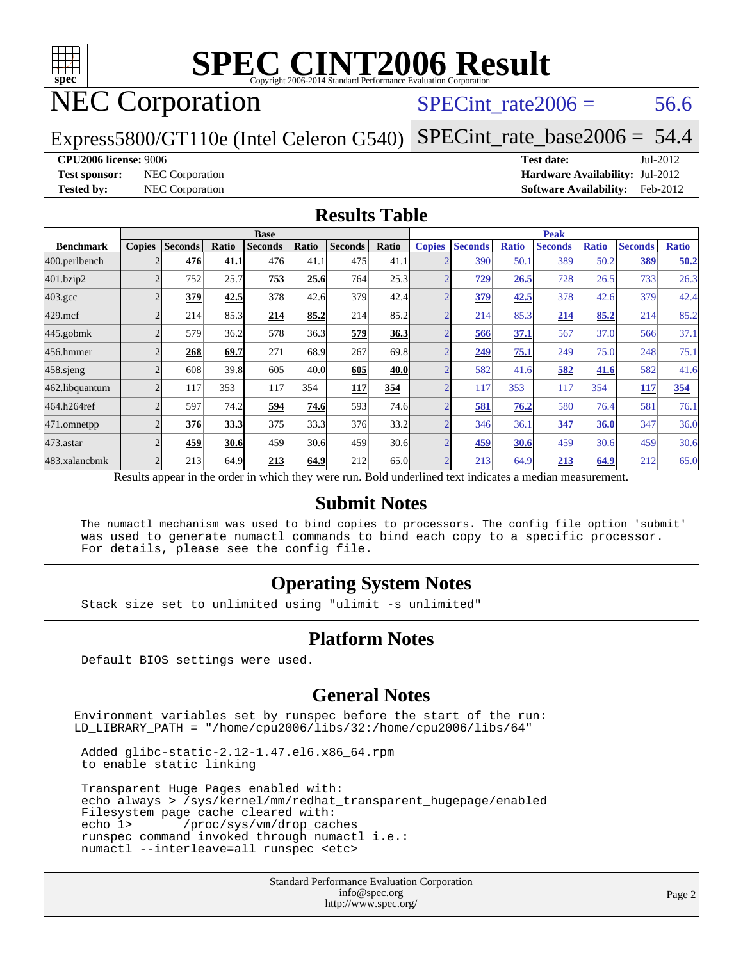

## NEC Corporation

SPECint rate $2006 = 56.6$ 

[SPECint\\_rate\\_base2006 =](http://www.spec.org/auto/cpu2006/Docs/result-fields.html#SPECintratebase2006) 54.4

Express5800/GT110e (Intel Celeron G540)

**[CPU2006 license:](http://www.spec.org/auto/cpu2006/Docs/result-fields.html#CPU2006license)** 9006 **[Test date:](http://www.spec.org/auto/cpu2006/Docs/result-fields.html#Testdate)** Jul-2012

**[Test sponsor:](http://www.spec.org/auto/cpu2006/Docs/result-fields.html#Testsponsor)** NEC Corporation **[Hardware Availability:](http://www.spec.org/auto/cpu2006/Docs/result-fields.html#HardwareAvailability)** Jul-2012 **[Tested by:](http://www.spec.org/auto/cpu2006/Docs/result-fields.html#Testedby)** NEC Corporation **[Software Availability:](http://www.spec.org/auto/cpu2006/Docs/result-fields.html#SoftwareAvailability)** Feb-2012

#### **[Results Table](http://www.spec.org/auto/cpu2006/Docs/result-fields.html#ResultsTable)**

|                                                                                                          | <b>Base</b>   |                |       |                |       |                |       | <b>Peak</b>   |                |              |                |              |                |              |
|----------------------------------------------------------------------------------------------------------|---------------|----------------|-------|----------------|-------|----------------|-------|---------------|----------------|--------------|----------------|--------------|----------------|--------------|
| <b>Benchmark</b>                                                                                         | <b>Copies</b> | <b>Seconds</b> | Ratio | <b>Seconds</b> | Ratio | <b>Seconds</b> | Ratio | <b>Copies</b> | <b>Seconds</b> | <b>Ratio</b> | <b>Seconds</b> | <b>Ratio</b> | <b>Seconds</b> | <b>Ratio</b> |
| 400.perlbench                                                                                            |               | 476            | 41.1  | 476            | 41.1  | 475            | 41.1  |               | 390            | 50.1         | 389            | 50.2         | 389            | 50.2         |
| 401.bzip2                                                                                                |               | 752            | 25.7  | 753            | 25.6  | 764            | 25.3  |               | <u>729</u>     | 26.5         | 728            | 26.5         | 733            | 26.3         |
| $403.\mathrm{gcc}$                                                                                       |               | 379            | 42.5  | 378            | 42.6  | 379            | 42.4  |               | 379            | 42.5         | 378            | 42.6         | 379            | 42.4         |
| $429$ .mcf                                                                                               |               | 214            | 85.3  | 214            | 85.2  | 214            | 85.2  |               | 214            | 85.3         | 214            | 85.2         | 214            | 85.2         |
| $445$ .gobm $k$                                                                                          |               | 579            | 36.2  | 578            | 36.3  | 579            | 36.3  |               | 566            | 37.1         | 567            | 37.0         | 566            | 37.1         |
| 456.hmmer                                                                                                |               | 268            | 69.7  | 271            | 68.9  | 267            | 69.8  |               | 249            | 75.1         | 249            | 75.0         | 248            | 75.1         |
| $458$ .sjeng                                                                                             |               | 608            | 39.8  | 605            | 40.0  | 605            | 40.0  |               | 582            | 41.6         | 582            | 41.6         | 582            | 41.6         |
| 462.libquantum                                                                                           |               | 117            | 353   | 117            | 354   | 117            | 354   |               | 117            | 353          | 117            | 354          | 117            | 354          |
| 464.h264ref                                                                                              |               | 597            | 74.2  | 594            | 74.6  | 593            | 74.6  |               | 581            | 76.2         | 580            | 76.4         | 581            | 76.1         |
| 471.omnetpp                                                                                              |               | 376            | 33.3  | 375            | 33.3  | 376            | 33.2  |               | 346            | 36.1         | 347            | 36.0         | 347            | 36.0         |
| 473.astar                                                                                                |               | 459            | 30.6  | 459            | 30.6  | 459            | 30.6  |               | 459            | 30.6         | 459            | 30.6         | 459            | 30.6         |
| 483.xalancbmk                                                                                            |               | 213            | 64.9  | 213            | 64.9  | 212            | 65.0  |               | 213            | 64.9         | 213            | 64.9         | 212            | 65.0         |
| Results appear in the order in which they were run. Bold underlined text indicates a median measurement. |               |                |       |                |       |                |       |               |                |              |                |              |                |              |

#### **[Submit Notes](http://www.spec.org/auto/cpu2006/Docs/result-fields.html#SubmitNotes)**

 The numactl mechanism was used to bind copies to processors. The config file option 'submit' was used to generate numactl commands to bind each copy to a specific processor. For details, please see the config file.

#### **[Operating System Notes](http://www.spec.org/auto/cpu2006/Docs/result-fields.html#OperatingSystemNotes)**

Stack size set to unlimited using "ulimit -s unlimited"

#### **[Platform Notes](http://www.spec.org/auto/cpu2006/Docs/result-fields.html#PlatformNotes)**

Default BIOS settings were used.

#### **[General Notes](http://www.spec.org/auto/cpu2006/Docs/result-fields.html#GeneralNotes)**

Environment variables set by runspec before the start of the run: LD\_LIBRARY\_PATH = "/home/cpu2006/libs/32:/home/cpu2006/libs/64"

 Added glibc-static-2.12-1.47.el6.x86\_64.rpm to enable static linking

 Transparent Huge Pages enabled with: echo always > /sys/kernel/mm/redhat\_transparent\_hugepage/enabled Filesystem page cache cleared with:<br>echo 1> /proc/sys/vm/drop\_cac /proc/sys/vm/drop\_caches runspec command invoked through numactl i.e.: numactl --interleave=all runspec <etc>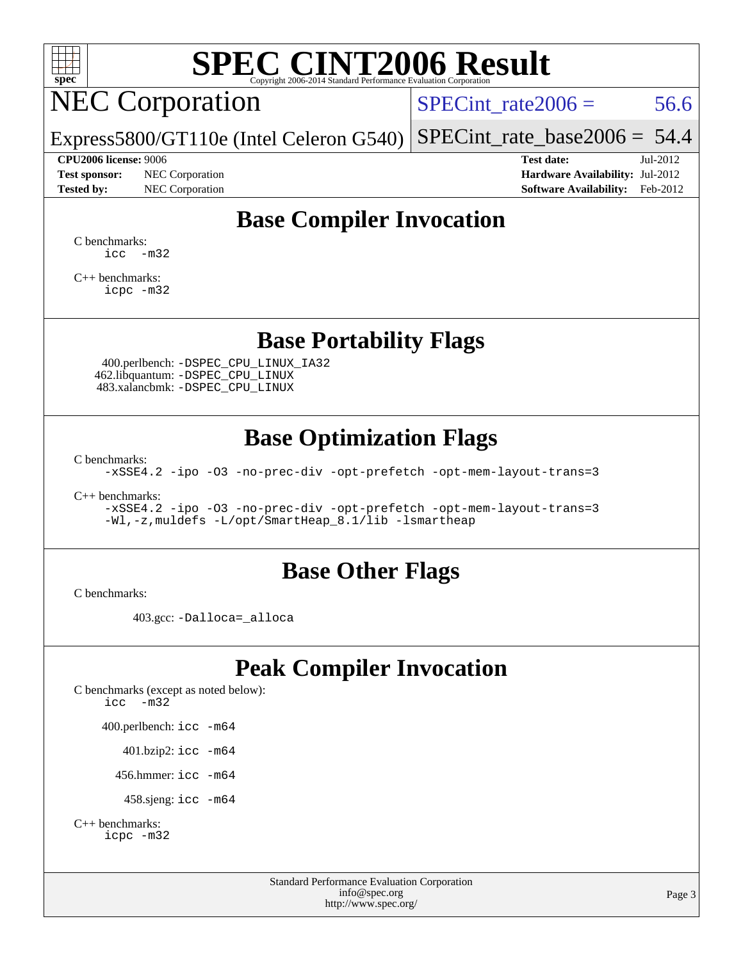

# NEC Corporation

SPECint rate $2006 = 56.6$ 

Express5800/GT110e (Intel Celeron G540) [SPECint\\_rate\\_base2006 =](http://www.spec.org/auto/cpu2006/Docs/result-fields.html#SPECintratebase2006) 54.4

**[Test sponsor:](http://www.spec.org/auto/cpu2006/Docs/result-fields.html#Testsponsor)** NEC Corporation **[Hardware Availability:](http://www.spec.org/auto/cpu2006/Docs/result-fields.html#HardwareAvailability)** Jul-2012

**[CPU2006 license:](http://www.spec.org/auto/cpu2006/Docs/result-fields.html#CPU2006license)** 9006 **[Test date:](http://www.spec.org/auto/cpu2006/Docs/result-fields.html#Testdate)** Jul-2012 **[Tested by:](http://www.spec.org/auto/cpu2006/Docs/result-fields.html#Testedby)** NEC Corporation **[Software Availability:](http://www.spec.org/auto/cpu2006/Docs/result-fields.html#SoftwareAvailability)** Feb-2012

#### **[Base Compiler Invocation](http://www.spec.org/auto/cpu2006/Docs/result-fields.html#BaseCompilerInvocation)**

[C benchmarks](http://www.spec.org/auto/cpu2006/Docs/result-fields.html#Cbenchmarks):  $\text{icc}$   $-\text{m32}$ 

[C++ benchmarks:](http://www.spec.org/auto/cpu2006/Docs/result-fields.html#CXXbenchmarks) [icpc -m32](http://www.spec.org/cpu2006/results/res2012q3/cpu2006-20120713-23673.flags.html#user_CXXbase_intel_icpc_4e5a5ef1a53fd332b3c49e69c3330699)

#### **[Base Portability Flags](http://www.spec.org/auto/cpu2006/Docs/result-fields.html#BasePortabilityFlags)**

 400.perlbench: [-DSPEC\\_CPU\\_LINUX\\_IA32](http://www.spec.org/cpu2006/results/res2012q3/cpu2006-20120713-23673.flags.html#b400.perlbench_baseCPORTABILITY_DSPEC_CPU_LINUX_IA32) 462.libquantum: [-DSPEC\\_CPU\\_LINUX](http://www.spec.org/cpu2006/results/res2012q3/cpu2006-20120713-23673.flags.html#b462.libquantum_baseCPORTABILITY_DSPEC_CPU_LINUX) 483.xalancbmk: [-DSPEC\\_CPU\\_LINUX](http://www.spec.org/cpu2006/results/res2012q3/cpu2006-20120713-23673.flags.html#b483.xalancbmk_baseCXXPORTABILITY_DSPEC_CPU_LINUX)

#### **[Base Optimization Flags](http://www.spec.org/auto/cpu2006/Docs/result-fields.html#BaseOptimizationFlags)**

[C benchmarks](http://www.spec.org/auto/cpu2006/Docs/result-fields.html#Cbenchmarks):

[-xSSE4.2](http://www.spec.org/cpu2006/results/res2012q3/cpu2006-20120713-23673.flags.html#user_CCbase_f-xSSE42_f91528193cf0b216347adb8b939d4107) [-ipo](http://www.spec.org/cpu2006/results/res2012q3/cpu2006-20120713-23673.flags.html#user_CCbase_f-ipo) [-O3](http://www.spec.org/cpu2006/results/res2012q3/cpu2006-20120713-23673.flags.html#user_CCbase_f-O3) [-no-prec-div](http://www.spec.org/cpu2006/results/res2012q3/cpu2006-20120713-23673.flags.html#user_CCbase_f-no-prec-div) [-opt-prefetch](http://www.spec.org/cpu2006/results/res2012q3/cpu2006-20120713-23673.flags.html#user_CCbase_f-opt-prefetch) [-opt-mem-layout-trans=3](http://www.spec.org/cpu2006/results/res2012q3/cpu2006-20120713-23673.flags.html#user_CCbase_f-opt-mem-layout-trans_a7b82ad4bd7abf52556d4961a2ae94d5)

[C++ benchmarks:](http://www.spec.org/auto/cpu2006/Docs/result-fields.html#CXXbenchmarks)

[-xSSE4.2](http://www.spec.org/cpu2006/results/res2012q3/cpu2006-20120713-23673.flags.html#user_CXXbase_f-xSSE42_f91528193cf0b216347adb8b939d4107) [-ipo](http://www.spec.org/cpu2006/results/res2012q3/cpu2006-20120713-23673.flags.html#user_CXXbase_f-ipo) [-O3](http://www.spec.org/cpu2006/results/res2012q3/cpu2006-20120713-23673.flags.html#user_CXXbase_f-O3) [-no-prec-div](http://www.spec.org/cpu2006/results/res2012q3/cpu2006-20120713-23673.flags.html#user_CXXbase_f-no-prec-div) [-opt-prefetch](http://www.spec.org/cpu2006/results/res2012q3/cpu2006-20120713-23673.flags.html#user_CXXbase_f-opt-prefetch) [-opt-mem-layout-trans=3](http://www.spec.org/cpu2006/results/res2012q3/cpu2006-20120713-23673.flags.html#user_CXXbase_f-opt-mem-layout-trans_a7b82ad4bd7abf52556d4961a2ae94d5) [-Wl,-z,muldefs](http://www.spec.org/cpu2006/results/res2012q3/cpu2006-20120713-23673.flags.html#user_CXXbase_link_force_multiple1_74079c344b956b9658436fd1b6dd3a8a) [-L/opt/SmartHeap\\_8.1/lib -lsmartheap](http://www.spec.org/cpu2006/results/res2012q3/cpu2006-20120713-23673.flags.html#user_CXXbase_SmartHeap_d5ba4dfc9de25d3c657c7de7476e66c5)

#### **[Base Other Flags](http://www.spec.org/auto/cpu2006/Docs/result-fields.html#BaseOtherFlags)**

[C benchmarks](http://www.spec.org/auto/cpu2006/Docs/result-fields.html#Cbenchmarks):

403.gcc: [-Dalloca=\\_alloca](http://www.spec.org/cpu2006/results/res2012q3/cpu2006-20120713-23673.flags.html#b403.gcc_baseEXTRA_CFLAGS_Dalloca_be3056838c12de2578596ca5467af7f3)

### **[Peak Compiler Invocation](http://www.spec.org/auto/cpu2006/Docs/result-fields.html#PeakCompilerInvocation)**

[C benchmarks \(except as noted below\)](http://www.spec.org/auto/cpu2006/Docs/result-fields.html#Cbenchmarksexceptasnotedbelow): [icc -m32](http://www.spec.org/cpu2006/results/res2012q3/cpu2006-20120713-23673.flags.html#user_CCpeak_intel_icc_5ff4a39e364c98233615fdd38438c6f2) 400.perlbench: [icc -m64](http://www.spec.org/cpu2006/results/res2012q3/cpu2006-20120713-23673.flags.html#user_peakCCLD400_perlbench_intel_icc_64bit_bda6cc9af1fdbb0edc3795bac97ada53) 401.bzip2: [icc -m64](http://www.spec.org/cpu2006/results/res2012q3/cpu2006-20120713-23673.flags.html#user_peakCCLD401_bzip2_intel_icc_64bit_bda6cc9af1fdbb0edc3795bac97ada53)

456.hmmer: [icc -m64](http://www.spec.org/cpu2006/results/res2012q3/cpu2006-20120713-23673.flags.html#user_peakCCLD456_hmmer_intel_icc_64bit_bda6cc9af1fdbb0edc3795bac97ada53)

458.sjeng: [icc -m64](http://www.spec.org/cpu2006/results/res2012q3/cpu2006-20120713-23673.flags.html#user_peakCCLD458_sjeng_intel_icc_64bit_bda6cc9af1fdbb0edc3795bac97ada53)

```
C++ benchmarks: 
icpc -m32
```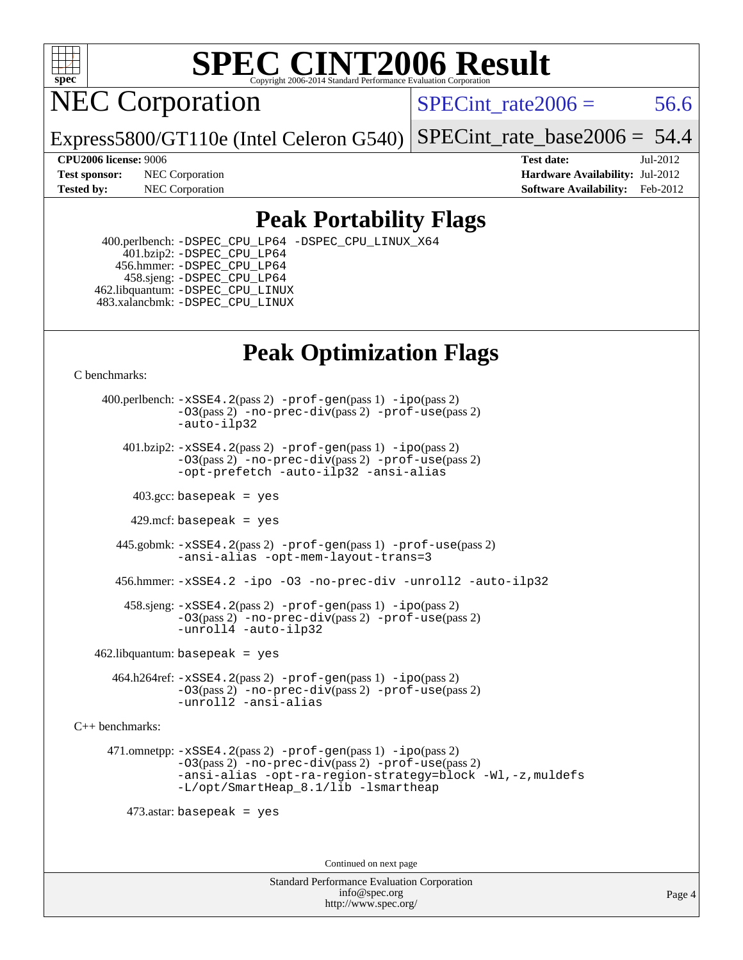

NEC Corporation

SPECint rate $2006 = 56.6$ 

Express5800/GT110e (Intel Celeron G540) [SPECint\\_rate\\_base2006 =](http://www.spec.org/auto/cpu2006/Docs/result-fields.html#SPECintratebase2006) 54.4

**[Tested by:](http://www.spec.org/auto/cpu2006/Docs/result-fields.html#Testedby)** NEC Corporation **[Software Availability:](http://www.spec.org/auto/cpu2006/Docs/result-fields.html#SoftwareAvailability)** Feb-2012

**[CPU2006 license:](http://www.spec.org/auto/cpu2006/Docs/result-fields.html#CPU2006license)** 9006 **[Test date:](http://www.spec.org/auto/cpu2006/Docs/result-fields.html#Testdate)** Jul-2012 **[Test sponsor:](http://www.spec.org/auto/cpu2006/Docs/result-fields.html#Testsponsor)** NEC Corporation **[Hardware Availability:](http://www.spec.org/auto/cpu2006/Docs/result-fields.html#HardwareAvailability)** Jul-2012

### **[Peak Portability Flags](http://www.spec.org/auto/cpu2006/Docs/result-fields.html#PeakPortabilityFlags)**

 400.perlbench: [-DSPEC\\_CPU\\_LP64](http://www.spec.org/cpu2006/results/res2012q3/cpu2006-20120713-23673.flags.html#b400.perlbench_peakCPORTABILITY_DSPEC_CPU_LP64) [-DSPEC\\_CPU\\_LINUX\\_X64](http://www.spec.org/cpu2006/results/res2012q3/cpu2006-20120713-23673.flags.html#b400.perlbench_peakCPORTABILITY_DSPEC_CPU_LINUX_X64) 401.bzip2: [-DSPEC\\_CPU\\_LP64](http://www.spec.org/cpu2006/results/res2012q3/cpu2006-20120713-23673.flags.html#suite_peakCPORTABILITY401_bzip2_DSPEC_CPU_LP64) 456.hmmer: [-DSPEC\\_CPU\\_LP64](http://www.spec.org/cpu2006/results/res2012q3/cpu2006-20120713-23673.flags.html#suite_peakCPORTABILITY456_hmmer_DSPEC_CPU_LP64) 458.sjeng: [-DSPEC\\_CPU\\_LP64](http://www.spec.org/cpu2006/results/res2012q3/cpu2006-20120713-23673.flags.html#suite_peakCPORTABILITY458_sjeng_DSPEC_CPU_LP64) 462.libquantum: [-DSPEC\\_CPU\\_LINUX](http://www.spec.org/cpu2006/results/res2012q3/cpu2006-20120713-23673.flags.html#b462.libquantum_peakCPORTABILITY_DSPEC_CPU_LINUX) 483.xalancbmk: [-DSPEC\\_CPU\\_LINUX](http://www.spec.org/cpu2006/results/res2012q3/cpu2006-20120713-23673.flags.html#b483.xalancbmk_peakCXXPORTABILITY_DSPEC_CPU_LINUX)

### **[Peak Optimization Flags](http://www.spec.org/auto/cpu2006/Docs/result-fields.html#PeakOptimizationFlags)**

[C benchmarks](http://www.spec.org/auto/cpu2006/Docs/result-fields.html#Cbenchmarks):

 400.perlbench: [-xSSE4.2](http://www.spec.org/cpu2006/results/res2012q3/cpu2006-20120713-23673.flags.html#user_peakPASS2_CFLAGSPASS2_LDCFLAGS400_perlbench_f-xSSE42_f91528193cf0b216347adb8b939d4107)(pass 2) [-prof-gen](http://www.spec.org/cpu2006/results/res2012q3/cpu2006-20120713-23673.flags.html#user_peakPASS1_CFLAGSPASS1_LDCFLAGS400_perlbench_prof_gen_e43856698f6ca7b7e442dfd80e94a8fc)(pass 1) [-ipo](http://www.spec.org/cpu2006/results/res2012q3/cpu2006-20120713-23673.flags.html#user_peakPASS2_CFLAGSPASS2_LDCFLAGS400_perlbench_f-ipo)(pass 2) [-O3](http://www.spec.org/cpu2006/results/res2012q3/cpu2006-20120713-23673.flags.html#user_peakPASS2_CFLAGSPASS2_LDCFLAGS400_perlbench_f-O3)(pass 2) [-no-prec-div](http://www.spec.org/cpu2006/results/res2012q3/cpu2006-20120713-23673.flags.html#user_peakPASS2_CFLAGSPASS2_LDCFLAGS400_perlbench_f-no-prec-div)(pass 2) [-prof-use](http://www.spec.org/cpu2006/results/res2012q3/cpu2006-20120713-23673.flags.html#user_peakPASS2_CFLAGSPASS2_LDCFLAGS400_perlbench_prof_use_bccf7792157ff70d64e32fe3e1250b55)(pass 2) [-auto-ilp32](http://www.spec.org/cpu2006/results/res2012q3/cpu2006-20120713-23673.flags.html#user_peakCOPTIMIZE400_perlbench_f-auto-ilp32)  $401.bzip2: -xSSE4.2(pass 2) -prof-qen(pass 1) -ipo(pass 2)$  $401.bzip2: -xSSE4.2(pass 2) -prof-qen(pass 1) -ipo(pass 2)$  $401.bzip2: -xSSE4.2(pass 2) -prof-qen(pass 1) -ipo(pass 2)$  $401.bzip2: -xSSE4.2(pass 2) -prof-qen(pass 1) -ipo(pass 2)$  $401.bzip2: -xSSE4.2(pass 2) -prof-qen(pass 1) -ipo(pass 2)$ [-O3](http://www.spec.org/cpu2006/results/res2012q3/cpu2006-20120713-23673.flags.html#user_peakPASS2_CFLAGSPASS2_LDCFLAGS401_bzip2_f-O3)(pass 2) [-no-prec-div](http://www.spec.org/cpu2006/results/res2012q3/cpu2006-20120713-23673.flags.html#user_peakPASS2_CFLAGSPASS2_LDCFLAGS401_bzip2_f-no-prec-div)(pass 2) [-prof-use](http://www.spec.org/cpu2006/results/res2012q3/cpu2006-20120713-23673.flags.html#user_peakPASS2_CFLAGSPASS2_LDCFLAGS401_bzip2_prof_use_bccf7792157ff70d64e32fe3e1250b55)(pass 2) [-opt-prefetch](http://www.spec.org/cpu2006/results/res2012q3/cpu2006-20120713-23673.flags.html#user_peakCOPTIMIZE401_bzip2_f-opt-prefetch) [-auto-ilp32](http://www.spec.org/cpu2006/results/res2012q3/cpu2006-20120713-23673.flags.html#user_peakCOPTIMIZE401_bzip2_f-auto-ilp32) [-ansi-alias](http://www.spec.org/cpu2006/results/res2012q3/cpu2006-20120713-23673.flags.html#user_peakCOPTIMIZE401_bzip2_f-ansi-alias)  $403.\text{sec: basepeak}$  = yes  $429$ .mcf: basepeak = yes 445.gobmk: [-xSSE4.2](http://www.spec.org/cpu2006/results/res2012q3/cpu2006-20120713-23673.flags.html#user_peakPASS2_CFLAGSPASS2_LDCFLAGS445_gobmk_f-xSSE42_f91528193cf0b216347adb8b939d4107)(pass 2) [-prof-gen](http://www.spec.org/cpu2006/results/res2012q3/cpu2006-20120713-23673.flags.html#user_peakPASS1_CFLAGSPASS1_LDCFLAGS445_gobmk_prof_gen_e43856698f6ca7b7e442dfd80e94a8fc)(pass 1) [-prof-use](http://www.spec.org/cpu2006/results/res2012q3/cpu2006-20120713-23673.flags.html#user_peakPASS2_CFLAGSPASS2_LDCFLAGS445_gobmk_prof_use_bccf7792157ff70d64e32fe3e1250b55)(pass 2) [-ansi-alias](http://www.spec.org/cpu2006/results/res2012q3/cpu2006-20120713-23673.flags.html#user_peakCOPTIMIZE445_gobmk_f-ansi-alias) [-opt-mem-layout-trans=3](http://www.spec.org/cpu2006/results/res2012q3/cpu2006-20120713-23673.flags.html#user_peakCOPTIMIZE445_gobmk_f-opt-mem-layout-trans_a7b82ad4bd7abf52556d4961a2ae94d5) 456.hmmer: [-xSSE4.2](http://www.spec.org/cpu2006/results/res2012q3/cpu2006-20120713-23673.flags.html#user_peakCOPTIMIZE456_hmmer_f-xSSE42_f91528193cf0b216347adb8b939d4107) [-ipo](http://www.spec.org/cpu2006/results/res2012q3/cpu2006-20120713-23673.flags.html#user_peakCOPTIMIZE456_hmmer_f-ipo) [-O3](http://www.spec.org/cpu2006/results/res2012q3/cpu2006-20120713-23673.flags.html#user_peakCOPTIMIZE456_hmmer_f-O3) [-no-prec-div](http://www.spec.org/cpu2006/results/res2012q3/cpu2006-20120713-23673.flags.html#user_peakCOPTIMIZE456_hmmer_f-no-prec-div) [-unroll2](http://www.spec.org/cpu2006/results/res2012q3/cpu2006-20120713-23673.flags.html#user_peakCOPTIMIZE456_hmmer_f-unroll_784dae83bebfb236979b41d2422d7ec2) [-auto-ilp32](http://www.spec.org/cpu2006/results/res2012q3/cpu2006-20120713-23673.flags.html#user_peakCOPTIMIZE456_hmmer_f-auto-ilp32) 458.sjeng: [-xSSE4.2](http://www.spec.org/cpu2006/results/res2012q3/cpu2006-20120713-23673.flags.html#user_peakPASS2_CFLAGSPASS2_LDCFLAGS458_sjeng_f-xSSE42_f91528193cf0b216347adb8b939d4107)(pass 2) [-prof-gen](http://www.spec.org/cpu2006/results/res2012q3/cpu2006-20120713-23673.flags.html#user_peakPASS1_CFLAGSPASS1_LDCFLAGS458_sjeng_prof_gen_e43856698f6ca7b7e442dfd80e94a8fc)(pass 1) [-ipo](http://www.spec.org/cpu2006/results/res2012q3/cpu2006-20120713-23673.flags.html#user_peakPASS2_CFLAGSPASS2_LDCFLAGS458_sjeng_f-ipo)(pass 2) [-O3](http://www.spec.org/cpu2006/results/res2012q3/cpu2006-20120713-23673.flags.html#user_peakPASS2_CFLAGSPASS2_LDCFLAGS458_sjeng_f-O3)(pass 2) [-no-prec-div](http://www.spec.org/cpu2006/results/res2012q3/cpu2006-20120713-23673.flags.html#user_peakPASS2_CFLAGSPASS2_LDCFLAGS458_sjeng_f-no-prec-div)(pass 2) [-prof-use](http://www.spec.org/cpu2006/results/res2012q3/cpu2006-20120713-23673.flags.html#user_peakPASS2_CFLAGSPASS2_LDCFLAGS458_sjeng_prof_use_bccf7792157ff70d64e32fe3e1250b55)(pass 2) [-unroll4](http://www.spec.org/cpu2006/results/res2012q3/cpu2006-20120713-23673.flags.html#user_peakCOPTIMIZE458_sjeng_f-unroll_4e5e4ed65b7fd20bdcd365bec371b81f) [-auto-ilp32](http://www.spec.org/cpu2006/results/res2012q3/cpu2006-20120713-23673.flags.html#user_peakCOPTIMIZE458_sjeng_f-auto-ilp32)

 $462$ .libquantum: basepeak = yes

 464.h264ref: [-xSSE4.2](http://www.spec.org/cpu2006/results/res2012q3/cpu2006-20120713-23673.flags.html#user_peakPASS2_CFLAGSPASS2_LDCFLAGS464_h264ref_f-xSSE42_f91528193cf0b216347adb8b939d4107)(pass 2) [-prof-gen](http://www.spec.org/cpu2006/results/res2012q3/cpu2006-20120713-23673.flags.html#user_peakPASS1_CFLAGSPASS1_LDCFLAGS464_h264ref_prof_gen_e43856698f6ca7b7e442dfd80e94a8fc)(pass 1) [-ipo](http://www.spec.org/cpu2006/results/res2012q3/cpu2006-20120713-23673.flags.html#user_peakPASS2_CFLAGSPASS2_LDCFLAGS464_h264ref_f-ipo)(pass 2) [-O3](http://www.spec.org/cpu2006/results/res2012q3/cpu2006-20120713-23673.flags.html#user_peakPASS2_CFLAGSPASS2_LDCFLAGS464_h264ref_f-O3)(pass 2) [-no-prec-div](http://www.spec.org/cpu2006/results/res2012q3/cpu2006-20120713-23673.flags.html#user_peakPASS2_CFLAGSPASS2_LDCFLAGS464_h264ref_f-no-prec-div)(pass 2) [-prof-use](http://www.spec.org/cpu2006/results/res2012q3/cpu2006-20120713-23673.flags.html#user_peakPASS2_CFLAGSPASS2_LDCFLAGS464_h264ref_prof_use_bccf7792157ff70d64e32fe3e1250b55)(pass 2) [-unroll2](http://www.spec.org/cpu2006/results/res2012q3/cpu2006-20120713-23673.flags.html#user_peakCOPTIMIZE464_h264ref_f-unroll_784dae83bebfb236979b41d2422d7ec2) [-ansi-alias](http://www.spec.org/cpu2006/results/res2012q3/cpu2006-20120713-23673.flags.html#user_peakCOPTIMIZE464_h264ref_f-ansi-alias)

[C++ benchmarks:](http://www.spec.org/auto/cpu2006/Docs/result-fields.html#CXXbenchmarks)

 471.omnetpp: [-xSSE4.2](http://www.spec.org/cpu2006/results/res2012q3/cpu2006-20120713-23673.flags.html#user_peakPASS2_CXXFLAGSPASS2_LDCXXFLAGS471_omnetpp_f-xSSE42_f91528193cf0b216347adb8b939d4107)(pass 2) [-prof-gen](http://www.spec.org/cpu2006/results/res2012q3/cpu2006-20120713-23673.flags.html#user_peakPASS1_CXXFLAGSPASS1_LDCXXFLAGS471_omnetpp_prof_gen_e43856698f6ca7b7e442dfd80e94a8fc)(pass 1) [-ipo](http://www.spec.org/cpu2006/results/res2012q3/cpu2006-20120713-23673.flags.html#user_peakPASS2_CXXFLAGSPASS2_LDCXXFLAGS471_omnetpp_f-ipo)(pass 2) [-O3](http://www.spec.org/cpu2006/results/res2012q3/cpu2006-20120713-23673.flags.html#user_peakPASS2_CXXFLAGSPASS2_LDCXXFLAGS471_omnetpp_f-O3)(pass 2) [-no-prec-div](http://www.spec.org/cpu2006/results/res2012q3/cpu2006-20120713-23673.flags.html#user_peakPASS2_CXXFLAGSPASS2_LDCXXFLAGS471_omnetpp_f-no-prec-div)(pass 2) [-prof-use](http://www.spec.org/cpu2006/results/res2012q3/cpu2006-20120713-23673.flags.html#user_peakPASS2_CXXFLAGSPASS2_LDCXXFLAGS471_omnetpp_prof_use_bccf7792157ff70d64e32fe3e1250b55)(pass 2) [-ansi-alias](http://www.spec.org/cpu2006/results/res2012q3/cpu2006-20120713-23673.flags.html#user_peakCXXOPTIMIZE471_omnetpp_f-ansi-alias) [-opt-ra-region-strategy=block](http://www.spec.org/cpu2006/results/res2012q3/cpu2006-20120713-23673.flags.html#user_peakCXXOPTIMIZE471_omnetpp_f-opt-ra-region-strategy_a0a37c372d03933b2a18d4af463c1f69) [-Wl,-z,muldefs](http://www.spec.org/cpu2006/results/res2012q3/cpu2006-20120713-23673.flags.html#user_peakEXTRA_LDFLAGS471_omnetpp_link_force_multiple1_74079c344b956b9658436fd1b6dd3a8a) [-L/opt/SmartHeap\\_8.1/lib -lsmartheap](http://www.spec.org/cpu2006/results/res2012q3/cpu2006-20120713-23673.flags.html#user_peakEXTRA_LIBS471_omnetpp_SmartHeap_d5ba4dfc9de25d3c657c7de7476e66c5)

473.astar: basepeak = yes

Continued on next page